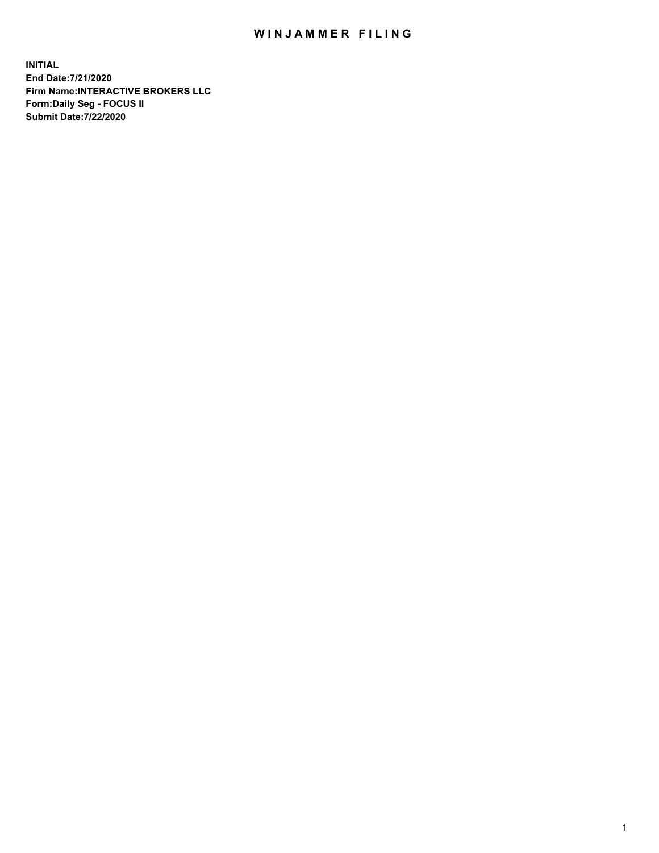## WIN JAMMER FILING

**INITIAL End Date:7/21/2020 Firm Name:INTERACTIVE BROKERS LLC Form:Daily Seg - FOCUS II Submit Date:7/22/2020**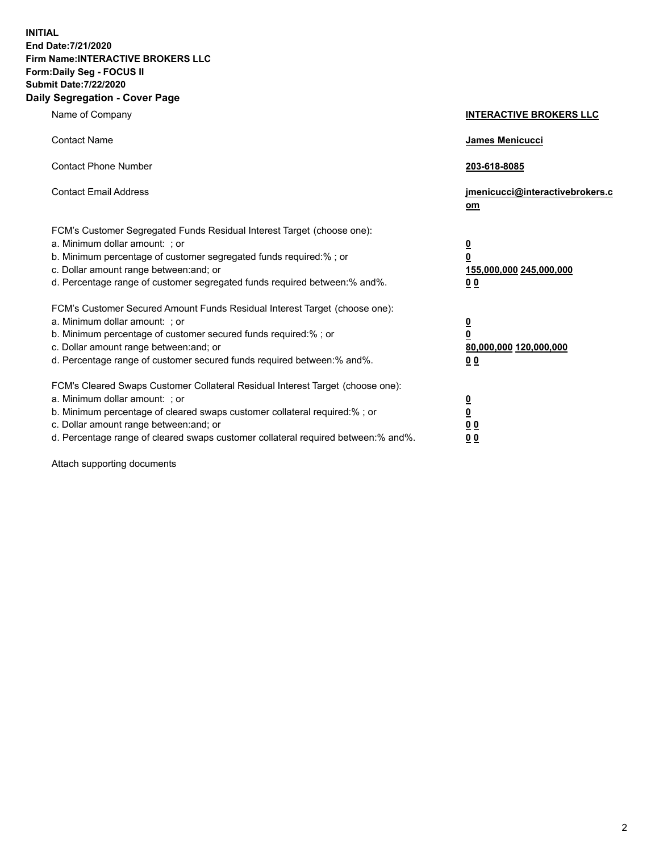**INITIAL End Date:7/21/2020 Firm Name:INTERACTIVE BROKERS LLC Form:Daily Seg - FOCUS II Submit Date:7/22/2020 Daily Segregation - Cover Page**

| Name of Company                                                                                                                                                                                                                                                                                                               | <b>INTERACTIVE BROKERS LLC</b>                                                                  |
|-------------------------------------------------------------------------------------------------------------------------------------------------------------------------------------------------------------------------------------------------------------------------------------------------------------------------------|-------------------------------------------------------------------------------------------------|
| <b>Contact Name</b>                                                                                                                                                                                                                                                                                                           | James Menicucci                                                                                 |
| <b>Contact Phone Number</b>                                                                                                                                                                                                                                                                                                   | 203-618-8085                                                                                    |
| <b>Contact Email Address</b>                                                                                                                                                                                                                                                                                                  | jmenicucci@interactivebrokers.c<br><u>om</u>                                                    |
| FCM's Customer Segregated Funds Residual Interest Target (choose one):<br>a. Minimum dollar amount: ; or<br>b. Minimum percentage of customer segregated funds required:% ; or<br>c. Dollar amount range between: and; or<br>d. Percentage range of customer segregated funds required between:% and%.                        | $\overline{\mathbf{0}}$<br>$\overline{\mathbf{0}}$<br>155,000,000 245,000,000<br>0 <sub>0</sub> |
| FCM's Customer Secured Amount Funds Residual Interest Target (choose one):<br>a. Minimum dollar amount: ; or<br>b. Minimum percentage of customer secured funds required:%; or<br>c. Dollar amount range between: and; or<br>d. Percentage range of customer secured funds required between:% and%.                           | $\overline{\mathbf{0}}$<br>$\overline{\mathbf{0}}$<br>80,000,000 120,000,000<br>0 <sub>0</sub>  |
| FCM's Cleared Swaps Customer Collateral Residual Interest Target (choose one):<br>a. Minimum dollar amount: ; or<br>b. Minimum percentage of cleared swaps customer collateral required:%; or<br>c. Dollar amount range between: and; or<br>d. Percentage range of cleared swaps customer collateral required between:% and%. | $\overline{\mathbf{0}}$<br>$\overline{\mathbf{0}}$<br>0 <sub>0</sub><br>0 <sub>0</sub>          |

Attach supporting documents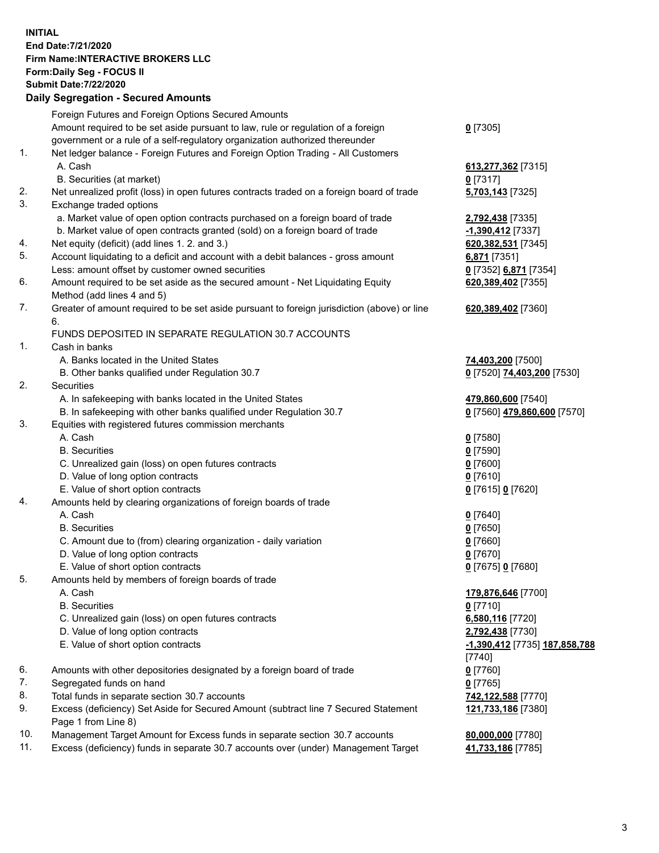**INITIAL End Date:7/21/2020 Firm Name:INTERACTIVE BROKERS LLC Form:Daily Seg - FOCUS II Submit Date:7/22/2020 Daily Segregation - Secured Amounts**

|     | Daily Segregation - Secured Amounts                                                         |                               |
|-----|---------------------------------------------------------------------------------------------|-------------------------------|
|     | Foreign Futures and Foreign Options Secured Amounts                                         |                               |
|     | Amount required to be set aside pursuant to law, rule or regulation of a foreign            | $0$ [7305]                    |
|     | government or a rule of a self-regulatory organization authorized thereunder                |                               |
| 1.  | Net ledger balance - Foreign Futures and Foreign Option Trading - All Customers             |                               |
|     | A. Cash                                                                                     | 613,277,362 [7315]            |
|     | B. Securities (at market)                                                                   | $0$ [7317]                    |
| 2.  | Net unrealized profit (loss) in open futures contracts traded on a foreign board of trade   | 5,703,143 [7325]              |
| 3.  | Exchange traded options                                                                     |                               |
|     | a. Market value of open option contracts purchased on a foreign board of trade              | 2,792,438 [7335]              |
|     | b. Market value of open contracts granted (sold) on a foreign board of trade                | -1,390,412 [7337]             |
| 4.  | Net equity (deficit) (add lines 1. 2. and 3.)                                               | 620, 382, 531 [7345]          |
| 5.  | Account liquidating to a deficit and account with a debit balances - gross amount           | 6,871 [7351]                  |
|     | Less: amount offset by customer owned securities                                            | 0 [7352] 6,871 [7354]         |
| 6.  | Amount required to be set aside as the secured amount - Net Liquidating Equity              | 620,389,402 [7355]            |
|     | Method (add lines 4 and 5)                                                                  |                               |
| 7.  | Greater of amount required to be set aside pursuant to foreign jurisdiction (above) or line | 620,389,402 [7360]            |
|     | 6.                                                                                          |                               |
|     | FUNDS DEPOSITED IN SEPARATE REGULATION 30.7 ACCOUNTS                                        |                               |
| 1.  | Cash in banks                                                                               |                               |
|     | A. Banks located in the United States                                                       | 74,403,200 [7500]             |
|     | B. Other banks qualified under Regulation 30.7                                              | 0 [7520] 74,403,200 [7530]    |
| 2.  | Securities                                                                                  |                               |
|     | A. In safekeeping with banks located in the United States                                   | 479,860,600 [7540]            |
|     | B. In safekeeping with other banks qualified under Regulation 30.7                          | 0 [7560] 479,860,600 [7570]   |
| 3.  | Equities with registered futures commission merchants                                       |                               |
|     | A. Cash                                                                                     | $0$ [7580]                    |
|     | <b>B.</b> Securities                                                                        | $0$ [7590]                    |
|     | C. Unrealized gain (loss) on open futures contracts                                         | $0$ [7600]                    |
|     | D. Value of long option contracts                                                           | $0$ [7610]                    |
|     | E. Value of short option contracts                                                          | 0 [7615] 0 [7620]             |
| 4.  | Amounts held by clearing organizations of foreign boards of trade                           |                               |
|     | A. Cash                                                                                     | $0$ [7640]                    |
|     | <b>B.</b> Securities                                                                        | $0$ [7650]                    |
|     | C. Amount due to (from) clearing organization - daily variation                             | $0$ [7660]                    |
|     | D. Value of long option contracts                                                           | $0$ [7670]                    |
|     | E. Value of short option contracts                                                          | 0 [7675] 0 [7680]             |
| 5.  | Amounts held by members of foreign boards of trade                                          |                               |
|     | A. Cash                                                                                     | 179,876,646 [7700]            |
|     | <b>B.</b> Securities                                                                        | $0$ [7710]                    |
|     | C. Unrealized gain (loss) on open futures contracts                                         | 6,580,116 [7720]              |
|     | D. Value of long option contracts                                                           | 2,792,438 [7730]              |
|     | E. Value of short option contracts                                                          | -1,390,412 [7735] 187,858,788 |
|     |                                                                                             | [7740]                        |
| 6.  | Amounts with other depositories designated by a foreign board of trade                      | $0$ [7760]                    |
| 7.  | Segregated funds on hand                                                                    | $0$ [7765]                    |
| 8.  | Total funds in separate section 30.7 accounts                                               | 742,122,588 [7770]            |
| 9.  | Excess (deficiency) Set Aside for Secured Amount (subtract line 7 Secured Statement         | 121,733,186 [7380]            |
|     | Page 1 from Line 8)                                                                         |                               |
| 10. | Management Target Amount for Excess funds in separate section 30.7 accounts                 | 80,000,000 [7780]             |
| 11. | Excess (deficiency) funds in separate 30.7 accounts over (under) Management Target          | 41,733,186 [7785]             |
|     |                                                                                             |                               |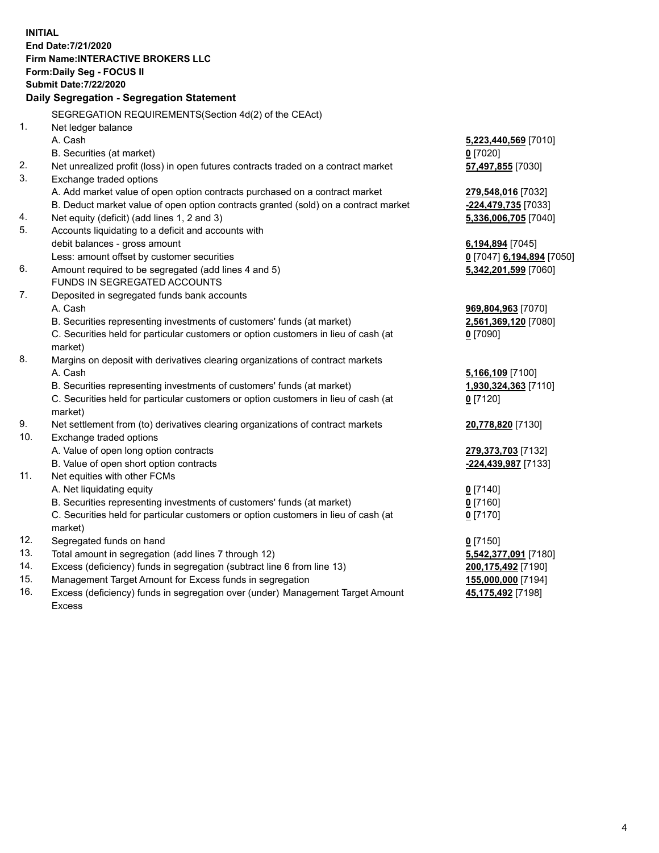**INITIAL End Date:7/21/2020 Firm Name:INTERACTIVE BROKERS LLC Form:Daily Seg - FOCUS II Submit Date:7/22/2020 Daily Segregation - Segregation Statement** SEGREGATION REQUIREMENTS(Section 4d(2) of the CEAct) 1. Net ledger balance A. Cash **5,223,440,569** [7010] B. Securities (at market) **0** [7020] 2. Net unrealized profit (loss) in open futures contracts traded on a contract market **57,497,855** [7030] 3. Exchange traded options A. Add market value of open option contracts purchased on a contract market **279,548,016** [7032] B. Deduct market value of open option contracts granted (sold) on a contract market **-224,479,735** [7033] 4. Net equity (deficit) (add lines 1, 2 and 3) **5,336,006,705** [7040] 5. Accounts liquidating to a deficit and accounts with debit balances - gross amount **6,194,894** [7045] Less: amount offset by customer securities **0** [7047] **6,194,894** [7050] 6. Amount required to be segregated (add lines 4 and 5) **5,342,201,599** [7060] FUNDS IN SEGREGATED ACCOUNTS 7. Deposited in segregated funds bank accounts A. Cash **969,804,963** [7070] B. Securities representing investments of customers' funds (at market) **2,561,369,120** [7080] C. Securities held for particular customers or option customers in lieu of cash (at market) **0** [7090] 8. Margins on deposit with derivatives clearing organizations of contract markets A. Cash **5,166,109** [7100] B. Securities representing investments of customers' funds (at market) **1,930,324,363** [7110] C. Securities held for particular customers or option customers in lieu of cash (at market) **0** [7120] 9. Net settlement from (to) derivatives clearing organizations of contract markets **20,778,820** [7130] 10. Exchange traded options A. Value of open long option contracts **279,373,703** [7132] B. Value of open short option contracts **-224,439,987** [7133] 11. Net equities with other FCMs A. Net liquidating equity **0** [7140] B. Securities representing investments of customers' funds (at market) **0** [7160] C. Securities held for particular customers or option customers in lieu of cash (at market) **0** [7170] 12. Segregated funds on hand **0** [7150] 13. Total amount in segregation (add lines 7 through 12) **5,542,377,091** [7180] 14. Excess (deficiency) funds in segregation (subtract line 6 from line 13) **200,175,492** [7190] 15. Management Target Amount for Excess funds in segregation **155,000,000** [7194] **45,175,492** [7198]

16. Excess (deficiency) funds in segregation over (under) Management Target Amount Excess